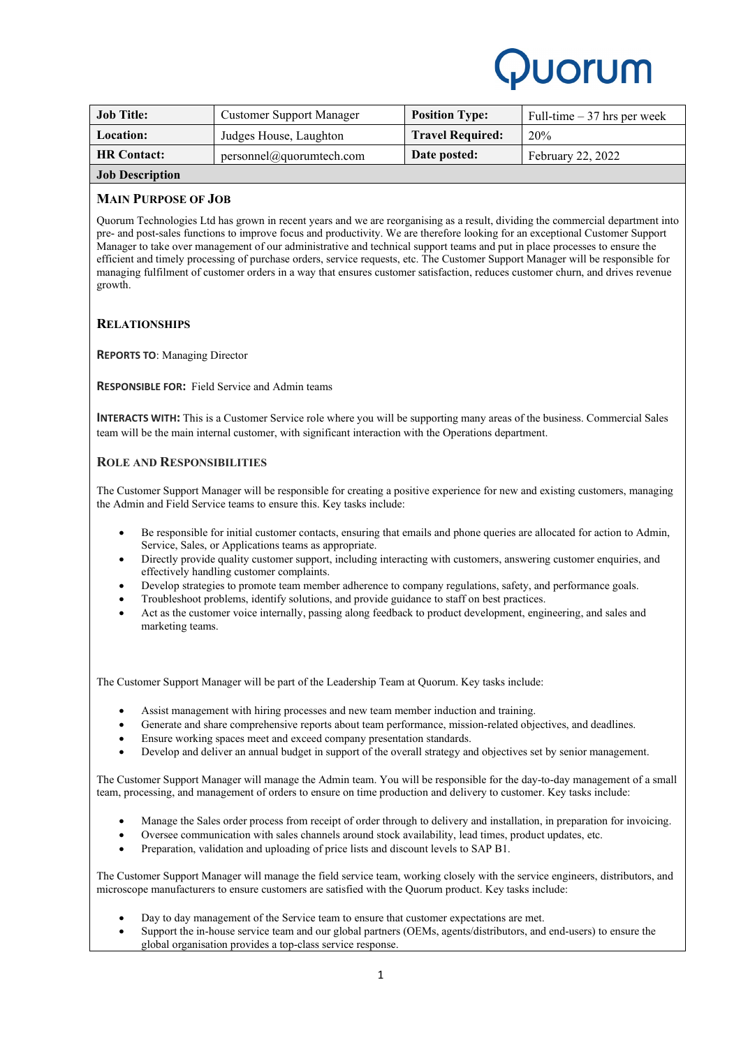

| <b>Job Title:</b>      | <b>Customer Support Manager</b> | <b>Position Type:</b>   | Full-time $-37$ hrs per week |
|------------------------|---------------------------------|-------------------------|------------------------------|
| <b>Location:</b>       | Judges House, Laughton          | <b>Travel Required:</b> | 20%                          |
| <b>HR Contact:</b>     | personnel@quorumtech.com        | Date posted:            | February 22, 2022            |
| <b>Job Description</b> |                                 |                         |                              |

### **MAIN PURPOSE OF JOB**

Quorum Technologies Ltd has grown in recent years and we are reorganising as a result, dividing the commercial department into pre- and post-sales functions to improve focus and productivity. We are therefore looking for an exceptional Customer Support Manager to take over management of our administrative and technical support teams and put in place processes to ensure the efficient and timely processing of purchase orders, service requests, etc. The Customer Support Manager will be responsible for managing fulfilment of customer orders in a way that ensures customer satisfaction, reduces customer churn, and drives revenue growth.

# **RELATIONSHIPS**

**REPORTS TO**: Managing Director

**RESPONSIBLE FOR:** Field Service and Admin teams

**INTERACTS WITH:** This is a Customer Service role where you will be supporting many areas of the business. Commercial Sales team will be the main internal customer, with significant interaction with the Operations department.

### **ROLE AND RESPONSIBILITIES**

The Customer Support Manager will be responsible for creating a positive experience for new and existing customers, managing the Admin and Field Service teams to ensure this. Key tasks include:

- Be responsible for initial customer contacts, ensuring that emails and phone queries are allocated for action to Admin, Service, Sales, or Applications teams as appropriate.
- Directly provide quality customer support, including interacting with customers, answering customer enquiries, and effectively handling customer complaints.
- Develop strategies to promote team member adherence to company regulations, safety, and performance goals.
- Troubleshoot problems, identify solutions, and provide guidance to staff on best practices.
- Act as the customer voice internally, passing along feedback to product development, engineering, and sales and marketing teams.

The Customer Support Manager will be part of the Leadership Team at Quorum. Key tasks include:

- Assist management with hiring processes and new team member induction and training.
- Generate and share comprehensive reports about team performance, mission-related objectives, and deadlines.
- Ensure working spaces meet and exceed company presentation standards.
- Develop and deliver an annual budget in support of the overall strategy and objectives set by senior management.

The Customer Support Manager will manage the Admin team. You will be responsible for the day-to-day management of a small team, processing, and management of orders to ensure on time production and delivery to customer. Key tasks include:

- Manage the Sales order process from receipt of order through to delivery and installation, in preparation for invoicing.
- Oversee communication with sales channels around stock availability, lead times, product updates, etc.
- Preparation, validation and uploading of price lists and discount levels to SAP B1.

The Customer Support Manager will manage the field service team, working closely with the service engineers, distributors, and microscope manufacturers to ensure customers are satisfied with the Quorum product. Key tasks include:

- Day to day management of the Service team to ensure that customer expectations are met.
- Support the in-house service team and our global partners (OEMs, agents/distributors, and end-users) to ensure the global organisation provides a top-class service response.